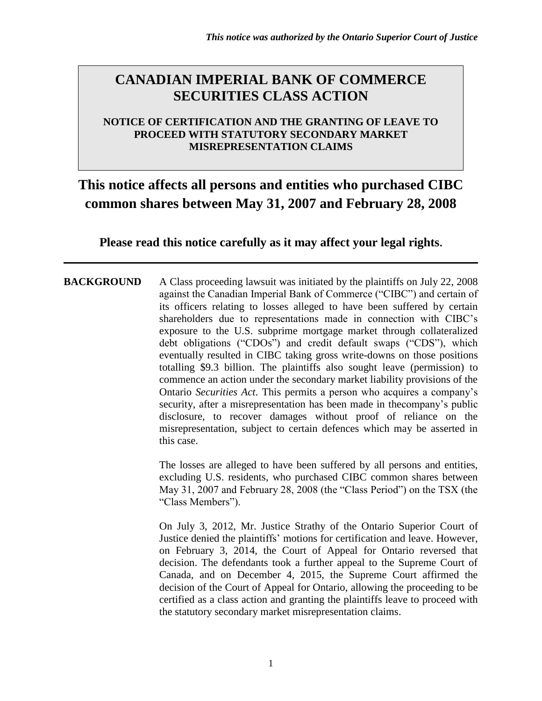### **CANADIAN IMPERIAL BANK OF COMMERCE SECURITIES CLASS ACTION**

### **NOTICE OF CERTIFICATION AND THE GRANTING OF LEAVE TO PROCEED WITH STATUTORY SECONDARY MARKET MISREPRESENTATION CLAIMS**

### **This notice affects all persons and entities who purchased CIBC common shares between May 31, 2007 and February 28, 2008**

**Please read this notice carefully as it may affect your legal rights.**

**BACKGROUND** A Class proceeding lawsuit was initiated by the plaintiffs on July 22, 2008 against the Canadian Imperial Bank of Commerce ("CIBC") and certain of its officers relating to losses alleged to have been suffered by certain shareholders due to representations made in connection with CIBC's exposure to the U.S. subprime mortgage market through collateralized debt obligations ("CDOs") and credit default swaps ("CDS"), which eventually resulted in CIBC taking gross write-downs on those positions totalling \$9.3 billion. The plaintiffs also sought leave (permission) to commence an action under the secondary market liability provisions of the Ontario *Securities Act*. This permits a person who acquires a company's security, after a misrepresentation has been made in thecompany's public disclosure, to recover damages without proof of reliance on the misrepresentation, subject to certain defences which may be asserted in this case.

> The losses are alleged to have been suffered by all persons and entities, excluding U.S. residents, who purchased CIBC common shares between May 31, 2007 and February 28, 2008 (the "Class Period") on the TSX (the "Class Members").

> On July 3, 2012, Mr. Justice Strathy of the Ontario Superior Court of Justice denied the plaintiffs' motions for certification and leave. However, on February 3, 2014, the Court of Appeal for Ontario reversed that decision. The defendants took a further appeal to the Supreme Court of Canada, and on December 4, 2015, the Supreme Court affirmed the decision of the Court of Appeal for Ontario, allowing the proceeding to be certified as a class action and granting the plaintiffs leave to proceed with the statutory secondary market misrepresentation claims.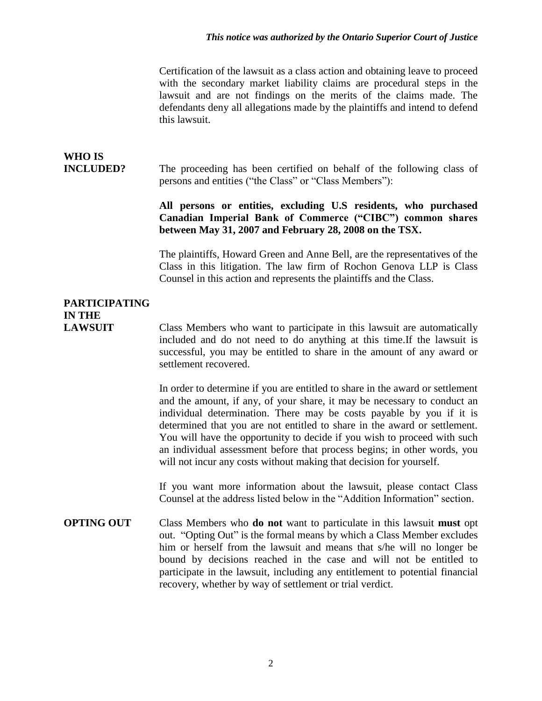Certification of the lawsuit as a class action and obtaining leave to proceed with the secondary market liability claims are procedural steps in the lawsuit and are not findings on the merits of the claims made. The defendants deny all allegations made by the plaintiffs and intend to defend this lawsuit.

# **WHO IS**

**INCLUDED?** The proceeding has been certified on behalf of the following class of persons and entities ("the Class" or "Class Members"):

### **All persons or entities, excluding U.S residents, who purchased Canadian Imperial Bank of Commerce ("CIBC") common shares between May 31, 2007 and February 28, 2008 on the TSX.**

The plaintiffs, Howard Green and Anne Bell, are the representatives of the Class in this litigation. The law firm of Rochon Genova LLP is Class Counsel in this action and represents the plaintiffs and the Class.

### **PARTICIPATING IN THE**

**LAWSUIT** Class Members who want to participate in this lawsuit are automatically included and do not need to do anything at this time.If the lawsuit is successful, you may be entitled to share in the amount of any award or settlement recovered.

> In order to determine if you are entitled to share in the award or settlement and the amount, if any, of your share, it may be necessary to conduct an individual determination. There may be costs payable by you if it is determined that you are not entitled to share in the award or settlement. You will have the opportunity to decide if you wish to proceed with such an individual assessment before that process begins; in other words, you will not incur any costs without making that decision for yourself.

> If you want more information about the lawsuit, please contact Class Counsel at the address listed below in the "Addition Information" section.

**OPTING OUT** Class Members who **do not** want to particulate in this lawsuit **must** opt out. "Opting Out" is the formal means by which a Class Member excludes him or herself from the lawsuit and means that s/he will no longer be bound by decisions reached in the case and will not be entitled to participate in the lawsuit, including any entitlement to potential financial recovery, whether by way of settlement or trial verdict.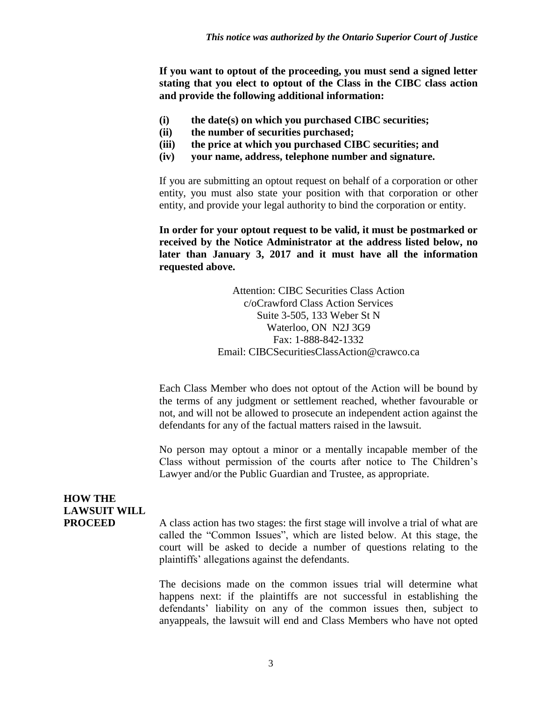**If you want to optout of the proceeding, you must send a signed letter stating that you elect to optout of the Class in the CIBC class action and provide the following additional information:**

- **(i) the date(s) on which you purchased CIBC securities;**
- **(ii) the number of securities purchased;**
- **(iii) the price at which you purchased CIBC securities; and**
- **(iv) your name, address, telephone number and signature.**

If you are submitting an optout request on behalf of a corporation or other entity, you must also state your position with that corporation or other entity, and provide your legal authority to bind the corporation or entity.

**In order for your optout request to be valid, it must be postmarked or received by the Notice Administrator at the address listed below, no later than January 3, 2017 and it must have all the information requested above.**

> Attention: CIBC Securities Class Action c/oCrawford Class Action Services Suite 3-505, 133 Weber St N Waterloo, ON N2J 3G9 Fax: 1-888-842-1332 Email: CIBCSecuritiesClassAction@crawco.ca

Each Class Member who does not optout of the Action will be bound by the terms of any judgment or settlement reached, whether favourable or not, and will not be allowed to prosecute an independent action against the defendants for any of the factual matters raised in the lawsuit.

No person may optout a minor or a mentally incapable member of the Class without permission of the courts after notice to The Children's Lawyer and/or the Public Guardian and Trustee, as appropriate.

### **HOW THE LAWSUIT WILL**

**PROCEED** A class action has two stages: the first stage will involve a trial of what are called the "Common Issues", which are listed below. At this stage, the court will be asked to decide a number of questions relating to the plaintiffs' allegations against the defendants.

> The decisions made on the common issues trial will determine what happens next: if the plaintiffs are not successful in establishing the defendants' liability on any of the common issues then, subject to anyappeals, the lawsuit will end and Class Members who have not opted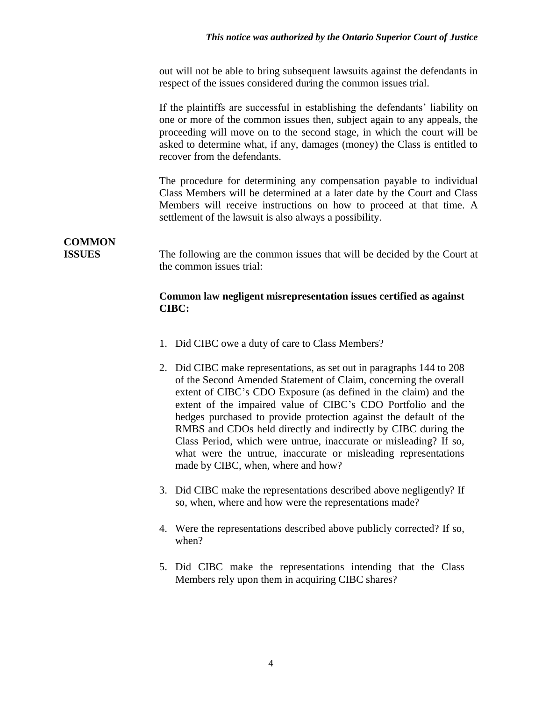out will not be able to bring subsequent lawsuits against the defendants in respect of the issues considered during the common issues trial.

If the plaintiffs are successful in establishing the defendants' liability on one or more of the common issues then, subject again to any appeals, the proceeding will move on to the second stage, in which the court will be asked to determine what, if any, damages (money) the Class is entitled to recover from the defendants.

The procedure for determining any compensation payable to individual Class Members will be determined at a later date by the Court and Class Members will receive instructions on how to proceed at that time. A settlement of the lawsuit is also always a possibility.

# **COMMON**

**ISSUES** The following are the common issues that will be decided by the Court at the common issues trial:

#### **Common law negligent misrepresentation issues certified as against CIBC:**

- 1. Did CIBC owe a duty of care to Class Members?
- 2. Did CIBC make representations, as set out in paragraphs 144 to 208 of the Second Amended Statement of Claim, concerning the overall extent of CIBC's CDO Exposure (as defined in the claim) and the extent of the impaired value of CIBC's CDO Portfolio and the hedges purchased to provide protection against the default of the RMBS and CDOs held directly and indirectly by CIBC during the Class Period, which were untrue, inaccurate or misleading? If so, what were the untrue, inaccurate or misleading representations made by CIBC, when, where and how?
- 3. Did CIBC make the representations described above negligently? If so, when, where and how were the representations made?
- 4. Were the representations described above publicly corrected? If so, when?
- 5. Did CIBC make the representations intending that the Class Members rely upon them in acquiring CIBC shares?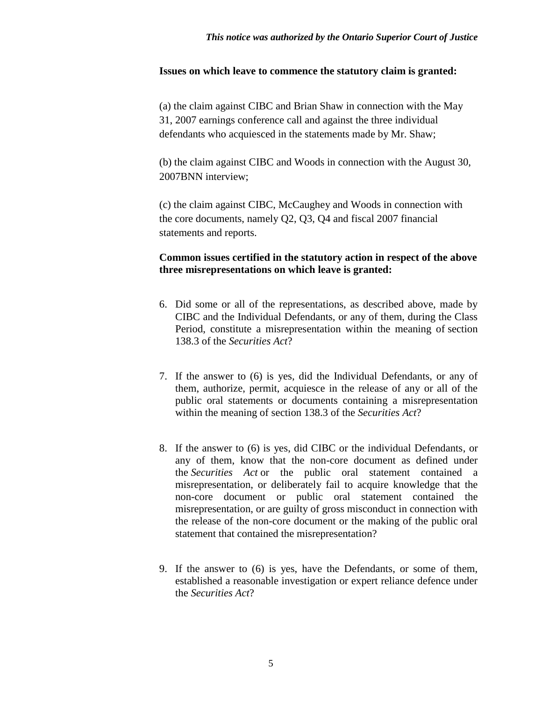#### **Issues on which leave to commence the statutory claim is granted:**

(a) the claim against CIBC and Brian Shaw in connection with the May 31, 2007 earnings conference call and against the three individual defendants who acquiesced in the statements made by Mr. Shaw;

(b) the claim against CIBC and Woods in connection with the August 30, 2007BNN interview;

(c) the claim against CIBC, McCaughey and Woods in connection with the core documents, namely Q2, Q3, Q4 and fiscal 2007 financial statements and reports.

#### **Common issues certified in the statutory action in respect of the above three misrepresentations on which leave is granted:**

- 6. Did some or all of the representations, as described above, made by CIBC and the Individual Defendants, or any of them, during the Class Period, constitute a misrepresentation within the meaning of [section](http://canlii.org/en/on/laws/stat/rso-1990-c-s5/latest/rso-1990-c-s5.html#sec138.3_smooth)  [138.3](http://canlii.org/en/on/laws/stat/rso-1990-c-s5/latest/rso-1990-c-s5.html#sec138.3_smooth) of the *[Securities Act](http://canlii.org/en/on/laws/stat/rso-1990-c-s5/latest/rso-1990-c-s5.html)*?
- 7. If the answer to (6) is yes, did the Individual Defendants, or any of them, authorize, permit, acquiesce in the release of any or all of the public oral statements or documents containing a misrepresentation within the meaning of [section 138.3](http://canlii.org/en/on/laws/stat/rso-1990-c-s5/latest/rso-1990-c-s5.html#sec138.3_smooth) of the *[Securities Act](http://canlii.org/en/on/laws/stat/rso-1990-c-s5/latest/rso-1990-c-s5.html)*?
- 8. If the answer to (6) is yes, did CIBC or the individual Defendants, or any of them, know that the non-core document as defined under the *[Securities Act](http://canlii.org/en/on/laws/stat/rso-1990-c-s5/latest/rso-1990-c-s5.html)* or the public oral statement contained a misrepresentation, or deliberately fail to acquire knowledge that the non-core document or public oral statement contained the misrepresentation, or are guilty of gross misconduct in connection with the release of the non-core document or the making of the public oral statement that contained the misrepresentation?
- 9. If the answer to (6) is yes, have the Defendants, or some of them, established a reasonable investigation or expert reliance defence under the *[Securities Act](http://canlii.org/en/on/laws/stat/rso-1990-c-s5/latest/rso-1990-c-s5.html)*?